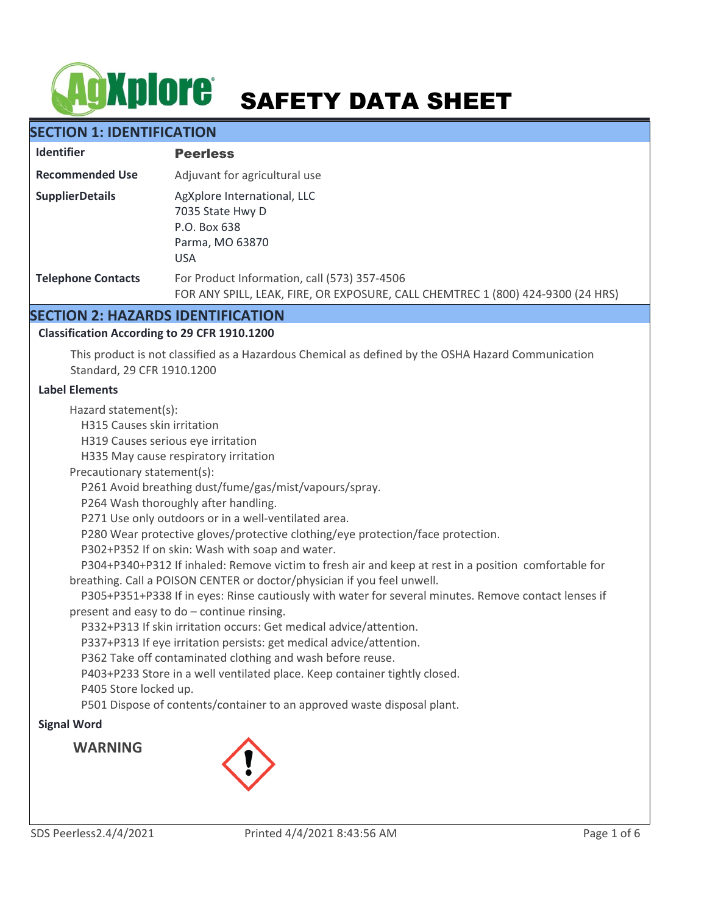# **AgXplore** SAFETY DATA SHEET

# **SECTION 1: IDENTIFICATION**

| <b>Identifier</b>         | <b>Peerless</b>                                                                                                                 |
|---------------------------|---------------------------------------------------------------------------------------------------------------------------------|
| <b>Recommended Use</b>    | Adjuvant for agricultural use                                                                                                   |
| <b>SupplierDetails</b>    | AgXplore International, LLC<br>7035 State Hwy D<br>P.O. Box 638<br>Parma, MO 63870<br><b>USA</b>                                |
| <b>Telephone Contacts</b> | For Product Information, call (573) 357-4506<br>FOR ANY SPILL, LEAK, FIRE, OR EXPOSURE, CALL CHEMTREC 1 (800) 424-9300 (24 HRS) |

# **SECTION 2: HAZARDS IDENTIFICATION**

#### **Classification According to 29 CFR 1910.1200**

This product is not classified as a Hazardous Chemical as defined by the OSHA Hazard Communication Standard, 29 CFR 1910.1200

#### **Label Elements**

Hazard statement(s):

H315 Causes skin irritation

H319 Causes serious eye irritation

H335 May cause respiratory irritation

Precautionary statement(s):

P261 Avoid breathing dust/fume/gas/mist/vapours/spray.

P264 Wash thoroughly after handling.

P271 Use only outdoors or in a well-ventilated area.

P280 Wear protective gloves/protective clothing/eye protection/face protection.

P302+P352 If on skin: Wash with soap and water.

 P304+P340+P312 If inhaled: Remove victim to fresh air and keep at rest in a position comfortable for breathing. Call a POISON CENTER or doctor/physician if you feel unwell.

 P305+P351+P338 If in eyes: Rinse cautiously with water for several minutes. Remove contact lenses if present and easy to do – continue rinsing.

P332+P313 If skin irritation occurs: Get medical advice/attention.

P337+P313 If eye irritation persists: get medical advice/attention.

P362 Take off contaminated clothing and wash before reuse.

P403+P233 Store in a well ventilated place. Keep container tightly closed.

P405 Store locked up.

P501 Dispose of contents/container to an approved waste disposal plant.

#### **Signal Word**

**WARNING**

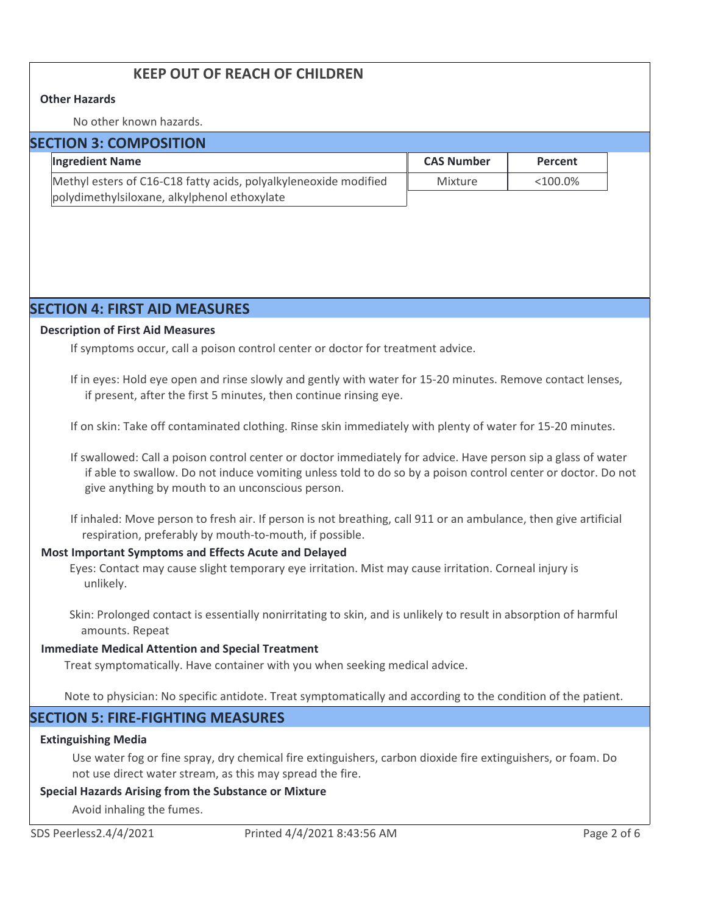# **KEEP OUT OF REACH OF CHILDREN**

#### **Other Hazards**

No other known hazards.

| <b>SECTION 3: COMPOSITION</b> |
|-------------------------------|
|-------------------------------|

| <b>Ingredient Name</b>                                           | <b>CAS Number</b> | Percent    |  |  |  |  |
|------------------------------------------------------------------|-------------------|------------|--|--|--|--|
| Methyl esters of C16-C18 fatty acids, polyalkyleneoxide modified | Mixture           | $<100.0\%$ |  |  |  |  |
| polydimethylsiloxane, alkylphenol ethoxylate                     |                   |            |  |  |  |  |

# **SECTION 4: FIRST AID MEASURES**

#### **Description of First Aid Measures**

If symptoms occur, call a poison control center or doctor for treatment advice.

If in eyes: Hold eye open and rinse slowly and gently with water for 15-20 minutes. Remove contact lenses, if present, after the first 5 minutes, then continue rinsing eye.

If on skin: Take off contaminated clothing. Rinse skin immediately with plenty of water for 15-20 minutes.

If swallowed: Call a poison control center or doctor immediately for advice. Have person sip a glass of water if able to swallow. Do not induce vomiting unless told to do so by a poison control center or doctor. Do not give anything by mouth to an unconscious person.

If inhaled: Move person to fresh air. If person is not breathing, call 911 or an ambulance, then give artificial respiration, preferably by mouth-to-mouth, if possible.

#### **Most Important Symptoms and Effects Acute and Delayed**

Eyes: Contact may cause slight temporary eye irritation. Mist may cause irritation. Corneal injury is unlikely.

Skin: Prolonged contact is essentially nonirritating to skin, and is unlikely to result in absorption of harmful amounts. Repeat

#### **Immediate Medical Attention and Special Treatment**

Treat symptomatically. Have container with you when seeking medical advice.

Note to physician: No specific antidote. Treat symptomatically and according to the condition of the patient.

# **SECTION 5: FIRE-FIGHTING MEASURES**

#### **Extinguishing Media**

Use water fog or fine spray, dry chemical fire extinguishers, carbon dioxide fire extinguishers, or foam. Do not use direct water stream, as this may spread the fire.

#### **Special Hazards Arising from the Substance or Mixture**

Avoid inhaling the fumes.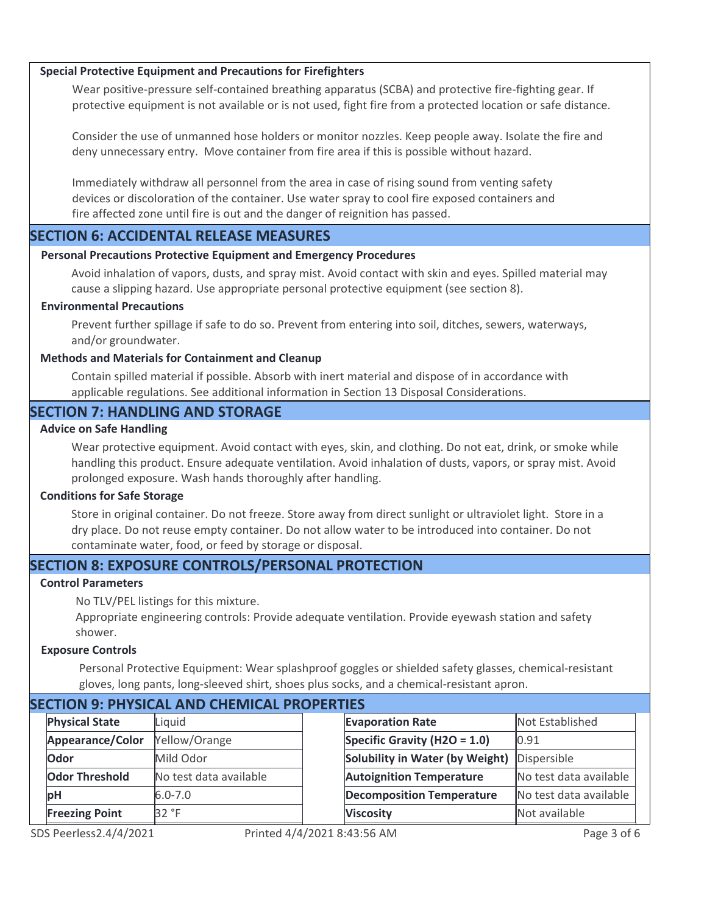#### **Special Protective Equipment and Precautions for Firefighters**

Wear positive-pressure self-contained breathing apparatus (SCBA) and protective fire-fighting gear. If protective equipment is not available or is not used, fight fire from a protected location or safe distance.

Consider the use of unmanned hose holders or monitor nozzles. Keep people away. Isolate the fire and deny unnecessary entry. Move container from fire area if this is possible without hazard.

Immediately withdraw all personnel from the area in case of rising sound from venting safety devices or discoloration of the container. Use water spray to cool fire exposed containers and fire affected zone until fire is out and the danger of reignition has passed.

#### **SECTION 6: ACCIDENTAL RELEASE MEASURES**

#### **Personal Precautions Protective Equipment and Emergency Procedures**

Avoid inhalation of vapors, dusts, and spray mist. Avoid contact with skin and eyes. Spilled material may cause a slipping hazard. Use appropriate personal protective equipment (see section 8).

#### **Environmental Precautions**

Prevent further spillage if safe to do so. Prevent from entering into soil, ditches, sewers, waterways, and/or groundwater.

#### **Methods and Materials for Containment and Cleanup**

Contain spilled material if possible. Absorb with inert material and dispose of in accordance with applicable regulations. See additional information in Section 13 Disposal Considerations.

#### **SECTION 7: HANDLING AND STORAGE**

#### **Advice on Safe Handling**

Wear protective equipment. Avoid contact with eyes, skin, and clothing. Do not eat, drink, or smoke while handling this product. Ensure adequate ventilation. Avoid inhalation of dusts, vapors, or spray mist. Avoid prolonged exposure. Wash hands thoroughly after handling.

#### **Conditions for Safe Storage**

Store in original container. Do not freeze. Store away from direct sunlight or ultraviolet light. Store in a dry place. Do not reuse empty container. Do not allow water to be introduced into container. Do not contaminate water, food, or feed by storage or disposal.

# **SECTION 8: EXPOSURE CONTROLS/PERSONAL PROTECTION**

#### **Control Parameters**

No TLV/PEL listings for this mixture.

Appropriate engineering controls: Provide adequate ventilation. Provide eyewash station and safety shower.

#### **Exposure Controls**

Personal Protective Equipment: Wear splashproof goggles or shielded safety glasses, chemical-resistant gloves, long pants, long-sleeved shirt, shoes plus socks, and a chemical-resistant apron.

| SECTION 9. PHI SICAL AND CHEMICAL PROPERTIES |                       |                        |  |                                  |                        |
|----------------------------------------------|-----------------------|------------------------|--|----------------------------------|------------------------|
|                                              | <b>Physical State</b> | Liquid                 |  | <b>Evaporation Rate</b>          | Not Established        |
|                                              | Appearance/Color      | Yellow/Orange          |  | Specific Gravity (H2O = $1.0$ )  | 0.91                   |
|                                              | Odor                  | Mild Odor              |  | Solubility in Water (by Weight)  | Dispersible            |
|                                              | <b>Odor Threshold</b> | No test data available |  | <b>Autoignition Temperature</b>  | No test data available |
|                                              | <b>bH</b>             | $6.0 - 7.0$            |  | <b>Decomposition Temperature</b> | No test data available |
|                                              | <b>Freezing Point</b> | 32 °F                  |  | <b>Viscosity</b>                 | Not available          |
|                                              |                       |                        |  |                                  |                        |

# **SECTION 9: PHYSICAL AND CHEMICAL PROPERTIES**

Closed Cup 102 °C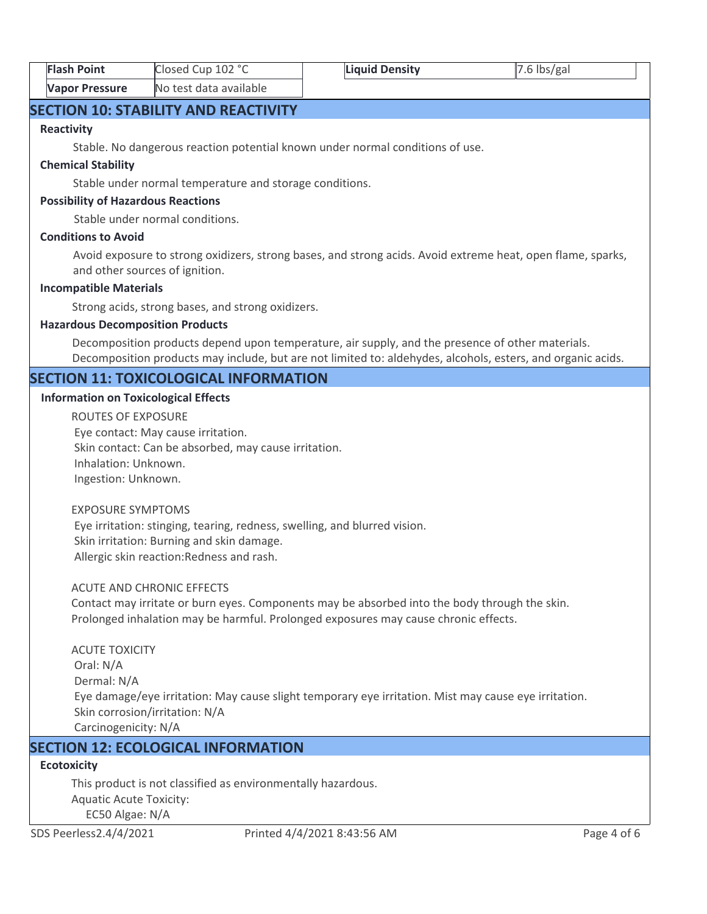| <b>Flash Point</b>    | Closed Cup 102 °C      | <b>Liquid Density</b> | $7.6$ lbs/gal |
|-----------------------|------------------------|-----------------------|---------------|
| <b>Vapor Pressure</b> | No test data available |                       |               |

# **SECTION 10: STABILITY AND REACTIVITY**

#### **Reactivity**

Stable. No dangerous reaction potential known under normal conditions of use.

#### **Chemical Stability**

Stable under normal temperature and storage conditions.

#### **Possibility of Hazardous Reactions**

Stable under normal conditions.

#### **Conditions to Avoid**

Avoid exposure to strong oxidizers, strong bases, and strong acids. Avoid extreme heat, open flame, sparks, and other sources of ignition.

#### **Incompatible Materials**

Strong acids, strong bases, and strong oxidizers.

#### **Hazardous Decomposition Products**

Decomposition products depend upon temperature, air supply, and the presence of other materials. Decomposition products may include, but are not limited to: aldehydes, alcohols, esters, and organic acids.

# **SECTION 11: TOXICOLOGICAL INFORMATION**

#### **Information on Toxicological Effects**

ROUTES OF EXPOSURE Eye contact: May cause irritation. Skin contact: Can be absorbed, may cause irritation. Inhalation: Unknown. Ingestion: Unknown.

#### EXPOSURE SYMPTOMS

 Eye irritation: stinging, tearing, redness, swelling, and blurred vision. Skin irritation: Burning and skin damage. Allergic skin reaction:Redness and rash.

#### ACUTE AND CHRONIC EFFECTS

Contact may irritate or burn eyes. Components may be absorbed into the body through the skin. Prolonged inhalation may be harmful. Prolonged exposures may cause chronic effects.

ACUTE TOXICITY Oral: N/A Dermal: N/A Eye damage/eye irritation: May cause slight temporary eye irritation. Mist may cause eye irritation. Skin corrosion/irritation: N/A Carcinogenicity: N/A

# **SECTION 12: ECOLOGICAL INFORMATION**

# **Ecotoxicity**

This product is not classified as environmentally hazardous. Aquatic Acute Toxicity: EC50 Algae: N/A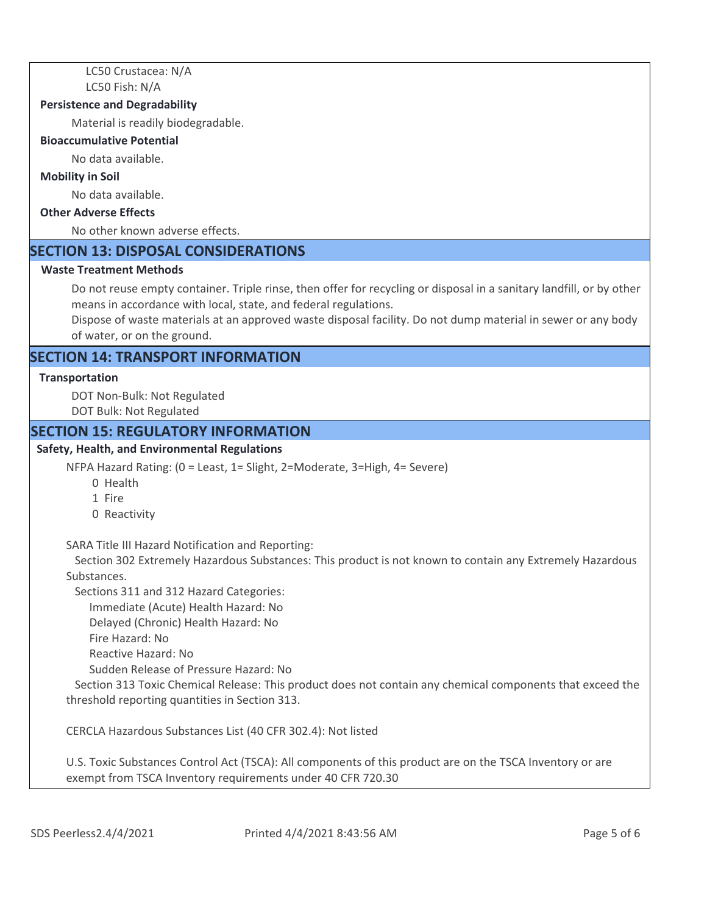LC50 Crustacea: N/A LC50 Fish: N/A

#### **Persistence and Degradability**

Material is readily biodegradable.

#### **Bioaccumulative Potential**

No data available.

#### **Mobility in Soil**

No data available.

#### **Other Adverse Effects**

No other known adverse effects.

#### **SECTION 13: DISPOSAL CONSIDERATIONS**

#### **Waste Treatment Methods**

Do not reuse empty container. Triple rinse, then offer for recycling or disposal in a sanitary landfill, or by other means in accordance with local, state, and federal regulations.

Dispose of waste materials at an approved waste disposal facility. Do not dump material in sewer or any body of water, or on the ground.

# **SECTION 14: TRANSPORT INFORMATION**

#### **Transportation**

DOT Non-Bulk: Not Regulated DOT Bulk: Not Regulated

#### **SECTION 15: REGULATORY INFORMATION**

#### **Safety, Health, and Environmental Regulations**

NFPA Hazard Rating: (0 = Least, 1= Slight, 2=Moderate, 3=High, 4= Severe)

- 0 Health
- 1 Fire
- 0 Reactivity

SARA Title III Hazard Notification and Reporting:

 Section 302 Extremely Hazardous Substances: This product is not known to contain any Extremely Hazardous Substances.

Sections 311 and 312 Hazard Categories:

Immediate (Acute) Health Hazard: No

Delayed (Chronic) Health Hazard: No

- Fire Hazard: No
- Reactive Hazard: No

Sudden Release of Pressure Hazard: No

 Section 313 Toxic Chemical Release: This product does not contain any chemical components that exceed the threshold reporting quantities in Section 313.

CERCLA Hazardous Substances List (40 CFR 302.4): Not listed

U.S. Toxic Substances Control Act (TSCA): All components of this product are on the TSCA Inventory or are exempt from TSCA Inventory requirements under 40 CFR 720.30